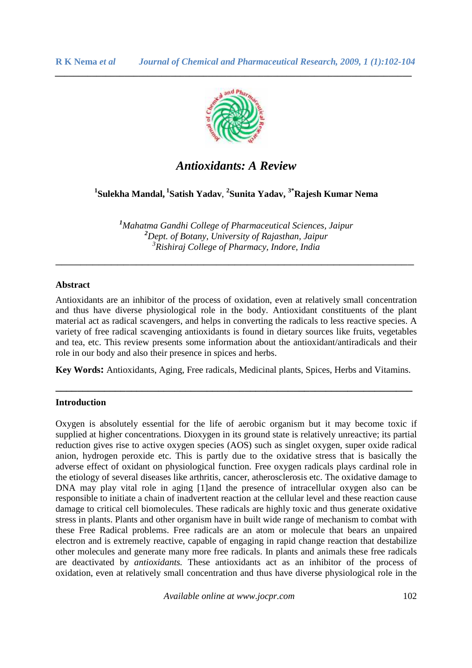

*\_\_\_\_\_\_\_\_\_\_\_\_\_\_\_\_\_\_\_\_\_\_\_\_\_\_\_\_\_\_\_\_\_\_\_\_\_\_\_\_\_\_\_\_\_\_\_\_\_\_\_\_\_\_\_\_\_\_\_\_\_\_\_\_\_\_\_\_\_\_\_\_\_\_\_\_\_*

# *Antioxidants: A Review*

**1 Sulekha Mandal,<sup>1</sup>Satish Yadav**, **2 Sunita Yadav, 3\*Rajesh Kumar Nema** 

*<sup>1</sup>Mahatma Gandhi College of Pharmaceutical Sciences, Jaipur <sup>2</sup>Dept. of Botany, University of Rajasthan, Jaipur 3 Rishiraj College of Pharmacy, Indore, India*

\_\_\_\_\_\_\_\_\_\_\_\_\_\_\_\_\_\_\_\_\_\_\_\_\_\_\_\_\_\_\_\_\_\_\_\_\_\_\_\_\_\_\_\_\_\_\_\_\_\_\_\_\_\_\_\_\_\_

## **Abstract**

Antioxidants are an inhibitor of the process of oxidation, even at relatively small concentration and thus have diverse physiological role in the body. Antioxidant constituents of the plant material act as radical scavengers, and helps in converting the radicals to less reactive species. A variety of free radical scavenging antioxidants is found in dietary sources like fruits, vegetables and tea, etc. This review presents some information about the antioxidant/antiradicals and their role in our body and also their presence in spices and herbs.

**Key Words:** Antioxidants, Aging, Free radicals, Medicinal plants, Spices, Herbs and Vitamins.

**\_\_\_\_\_\_\_\_\_\_\_\_\_\_\_\_\_\_\_\_\_\_\_\_\_\_\_\_\_\_\_\_\_\_\_\_\_\_\_\_\_\_\_\_\_\_\_\_\_\_\_\_\_\_\_\_\_\_\_\_\_\_\_\_\_\_** 

#### **Introduction**

Oxygen is absolutely essential for the life of aerobic organism but it may become toxic if supplied at higher concentrations. Dioxygen in its ground state is relatively unreactive; its partial reduction gives rise to active oxygen species (AOS) such as singlet oxygen, super oxide radical anion, hydrogen peroxide etc. This is partly due to the oxidative stress that is basically the adverse effect of oxidant on physiological function. Free oxygen radicals plays cardinal role in the etiology of several diseases like arthritis, cancer, atherosclerosis etc. The oxidative damage to DNA may play vital role in aging [1]and the presence of intracellular oxygen also can be responsible to initiate a chain of inadvertent reaction at the cellular level and these reaction cause damage to critical cell biomolecules. These radicals are highly toxic and thus generate oxidative stress in plants. Plants and other organism have in built wide range of mechanism to combat with these Free Radical problems. Free radicals are an atom or molecule that bears an unpaired electron and is extremely reactive, capable of engaging in rapid change reaction that destabilize other molecules and generate many more free radicals. In plants and animals these free radicals are deactivated by *antioxidants.* These antioxidants act as an inhibitor of the process of oxidation, even at relatively small concentration and thus have diverse physiological role in the

*Available online at www.jocpr.com* 102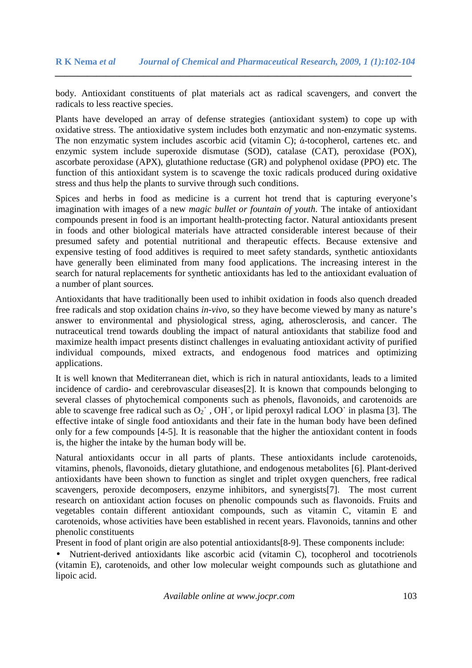body. Antioxidant constituents of plat materials act as radical scavengers, and convert the radicals to less reactive species.

Plants have developed an array of defense strategies (antioxidant system) to cope up with oxidative stress. The antioxidative system includes both enzymatic and non-enzymatic systems. The non enzymatic system includes ascorbic acid (vitamin C); ά-tocopherol, cartenes etc. and enzymic system include superoxide dismutase (SOD), catalase (CAT), peroxidase (POX), ascorbate peroxidase (APX), glutathione reductase (GR) and polyphenol oxidase (PPO) etc. The function of this antioxidant system is to scavenge the toxic radicals produced during oxidative stress and thus help the plants to survive through such conditions.

Spices and herbs in food as medicine is a current hot trend that is capturing everyone's imagination with images of a new *magic bullet or fountain of youth*. The intake of antioxidant compounds present in food is an important health-protecting factor. Natural antioxidants present in foods and other biological materials have attracted considerable interest because of their presumed safety and potential nutritional and therapeutic effects. Because extensive and expensive testing of food additives is required to meet safety standards, synthetic antioxidants have generally been eliminated from many food applications. The increasing interest in the search for natural replacements for synthetic antioxidants has led to the antioxidant evaluation of a number of plant sources.

Antioxidants that have traditionally been used to inhibit oxidation in foods also quench dreaded free radicals and stop oxidation chains *in-vivo*, so they have become viewed by many as nature's answer to environmental and physiological stress, aging, atherosclerosis, and cancer. The nutraceutical trend towards doubling the impact of natural antioxidants that stabilize food and maximize health impact presents distinct challenges in evaluating antioxidant activity of purified individual compounds, mixed extracts, and endogenous food matrices and optimizing applications.

It is well known that Mediterranean diet, which is rich in natural antioxidants, leads to a limited incidence of cardio- and cerebrovascular diseases[2]. It is known that compounds belonging to several classes of phytochemical components such as phenols, flavonoids, and carotenoids are able to scavenge free radical such as  $O_2$ <sup> $\cdot$ </sup>, OH $\cdot$ , or lipid peroxyl radical LOO $\cdot$  in plasma [3]. The effective intake of single food antioxidants and their fate in the human body have been defined only for a few compounds [4-5]. It is reasonable that the higher the antioxidant content in foods is, the higher the intake by the human body will be.

Natural antioxidants occur in all parts of plants. These antioxidants include carotenoids, vitamins, phenols, flavonoids, dietary glutathione, and endogenous metabolites [6]. Plant-derived antioxidants have been shown to function as singlet and triplet oxygen quenchers, free radical scavengers, peroxide decomposers, enzyme inhibitors, and synergists[7]. The most current research on antioxidant action focuses on phenolic compounds such as flavonoids. Fruits and vegetables contain different antioxidant compounds, such as vitamin C, vitamin E and carotenoids, whose activities have been established in recent years. Flavonoids, tannins and other phenolic constituents

Present in food of plant origin are also potential antioxidants[8-9]. These components include:

• Nutrient-derived antioxidants like ascorbic acid (vitamin C), tocopherol and tocotrienols (vitamin E), carotenoids, and other low molecular weight compounds such as glutathione and lipoic acid.